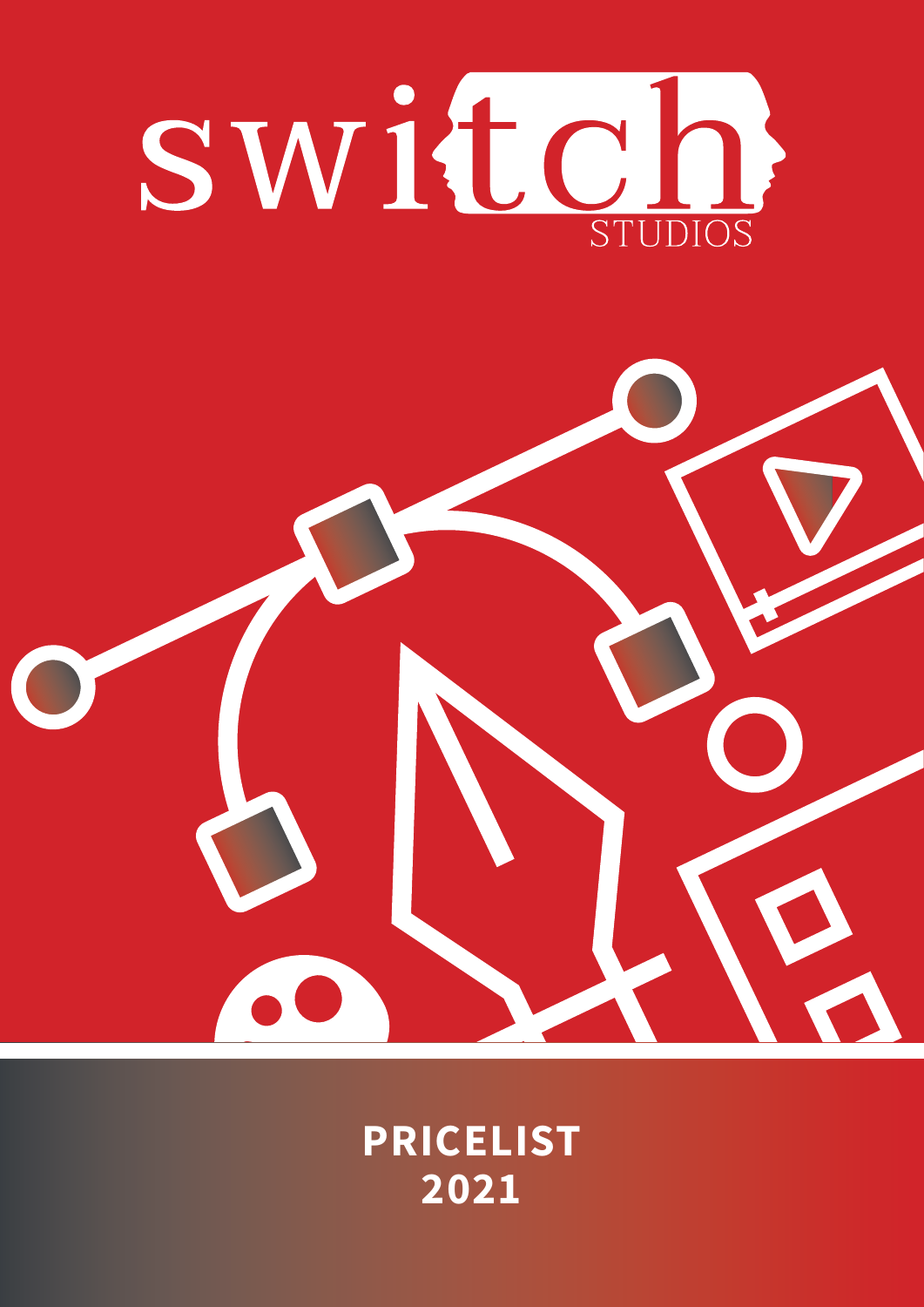

### **PRICELIST 2021**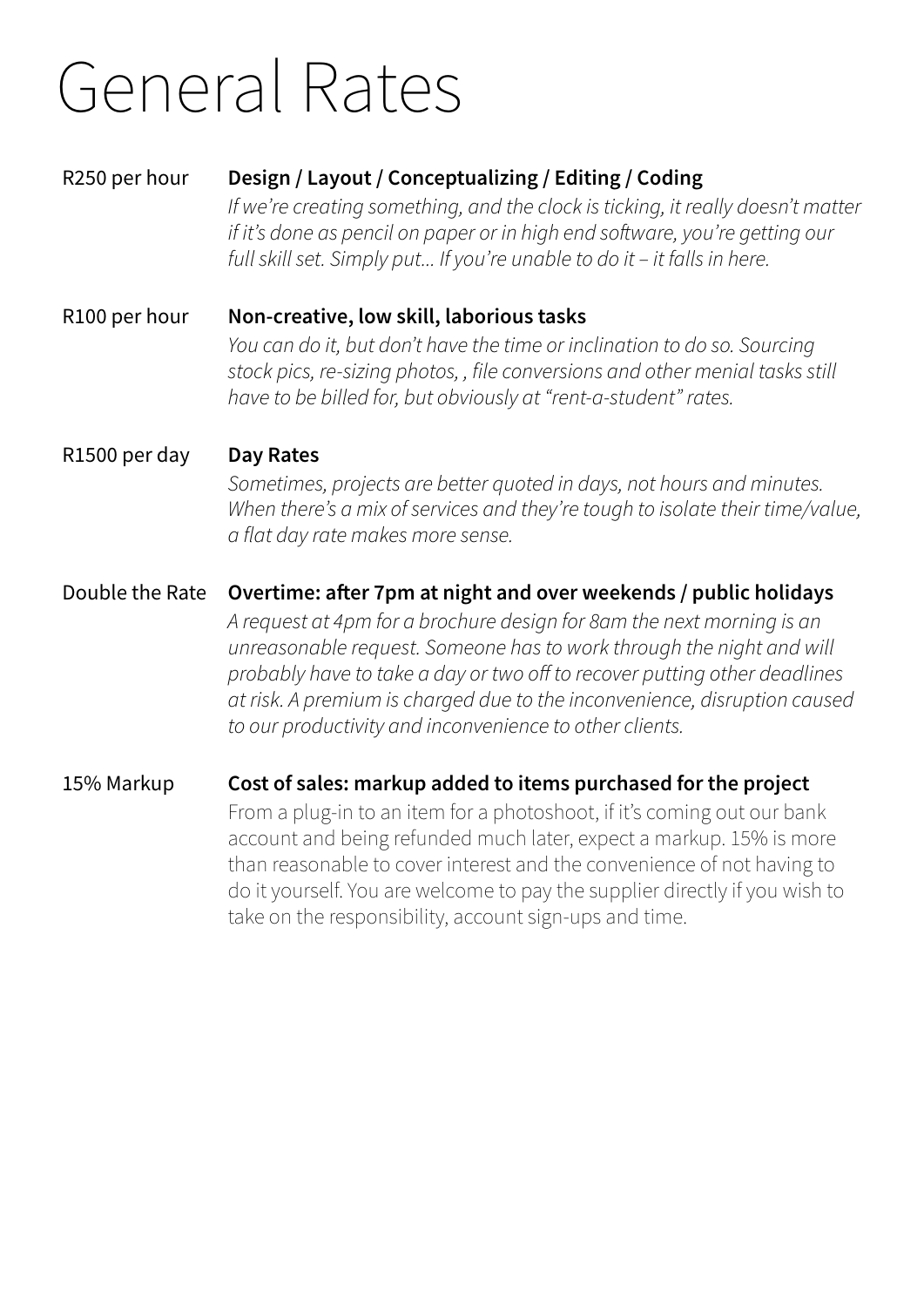### General Rates

#### R250 per hour **Design / Layout / Conceptualizing / Editing / Coding**

*If we're creating something, and the clock is ticking, it really doesn't matter if it's done as pencil on paper or in high end software, you're getting our full skill set. Simply put... If you're unable to do it – it falls in here.*

R100 per hour **Non-creative, low skill, laborious tasks** *You can do it, but don't have the time or inclination to do so. Sourcing stock pics, re-sizing photos, , file conversions and other menial tasks still have to be billed for, but obviously at "rent-a-student" rates.*

#### R1500 per day **Day Rates**

*Sometimes, projects are better quoted in days, not hours and minutes. When there's a mix of services and they're tough to isolate their time/value, a flat day rate makes more sense.*

### Double the Rate **Overtime: after 7pm at night and over weekends / public holidays**

*A request at 4pm for a brochure design for 8am the next morning is an unreasonable request. Someone has to work through the night and will probably have to take a day or two off to recover putting other deadlines at risk. A premium is charged due to the inconvenience, disruption caused to our productivity and inconvenience to other clients.*

#### 15% Markup **Cost of sales: markup added to items purchased for the project**

From a plug-in to an item for a photoshoot, if it's coming out our bank account and being refunded much later, expect a markup. 15% is more than reasonable to cover interest and the convenience of not having to do it yourself. You are welcome to pay the supplier directly if you wish to take on the responsibility, account sign-ups and time.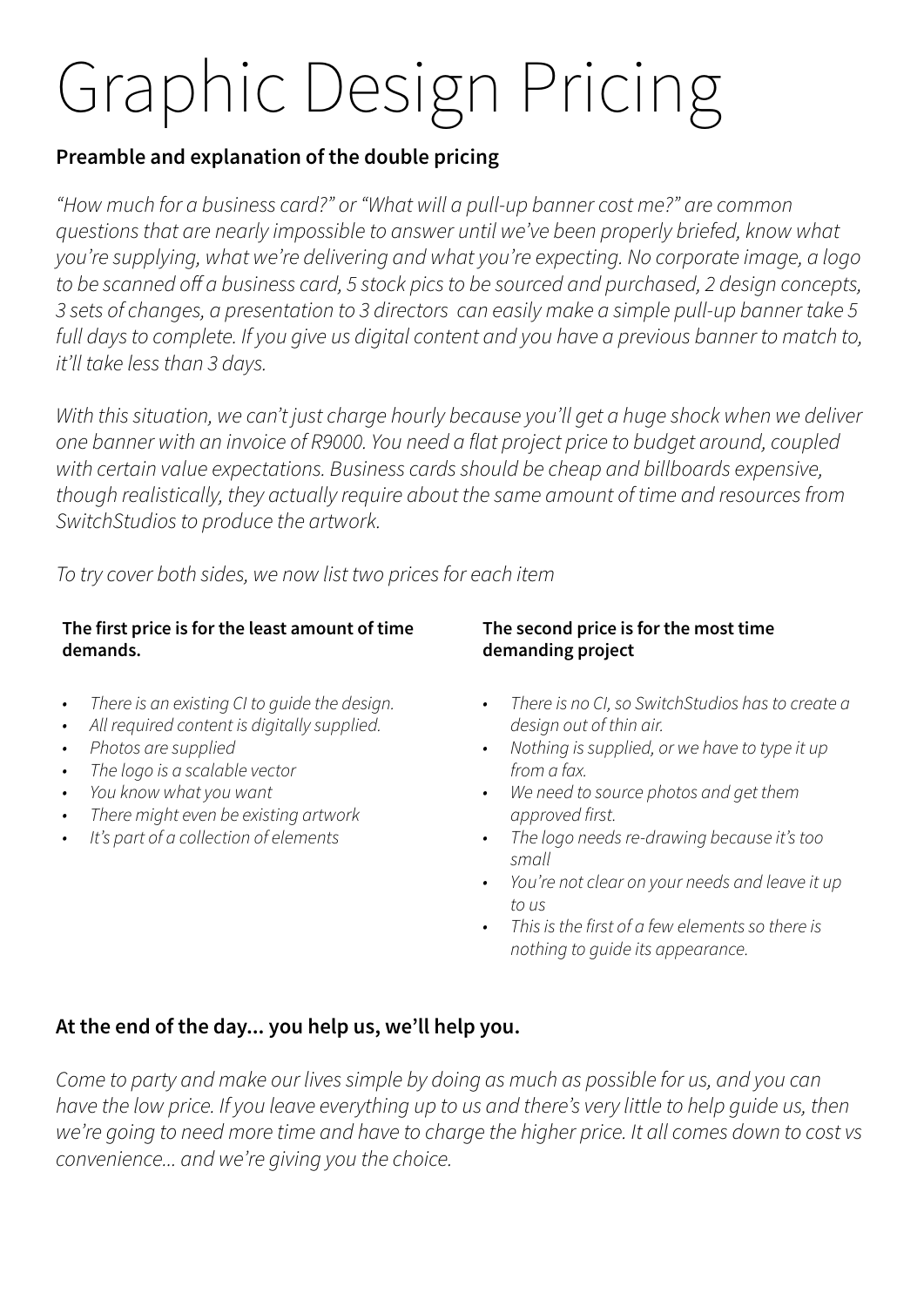# Graphic Design Pricing

#### **Preamble and explanation of the double pricing**

*"How much for a business card?" or "What will a pull-up banner cost me?" are common questions that are nearly impossible to answer until we've been properly briefed, know what you're supplying, what we're delivering and what you're expecting. No corporate image, a logo to be scanned off a business card, 5 stock pics to be sourced and purchased, 2 design concepts, 3 sets of changes, a presentation to 3 directors can easily make a simple pull-up banner take 5 full days to complete. If you give us digital content and you have a previous banner to match to, it'll take less than 3 days.*

*With this situation, we can't just charge hourly because you'll get a huge shock when we deliver one banner with an invoice of R9000. You need a flat project price to budget around, coupled with certain value expectations. Business cards should be cheap and billboards expensive, though realistically, they actually require about the same amount of time and resources from SwitchStudios to produce the artwork.*

*To try cover both sides, we now list two prices for each item*

#### **The first price is for the least amount of time demands.**

- *• There is an existing CI to guide the design.*
- *• All required content is digitally supplied.*
- *• Photos are supplied*
- *• The logo is a scalable vector*
- *• You know what you want*
- *• There might even be existing artwork*
- *• It's part of a collection of elements*

#### **The second price is for the most time demanding project**

- *• There is no CI, so SwitchStudios has to create a design out of thin air.*
- *• Nothing is supplied, or we have to type it up from a fax.*
- *• We need to source photos and get them approved first.*
- *• The logo needs re-drawing because it's too small*
- *• You're not clear on your needs and leave it up to us*
- *• This is the first of a few elements so there is nothing to guide its appearance.*

#### **At the end of the day... you help us, we'll help you.**

*Come to party and make our lives simple by doing as much as possible for us, and you can have the low price. If you leave everything up to us and there's very little to help guide us, then we're going to need more time and have to charge the higher price. It all comes down to cost vs convenience... and we're giving you the choice.*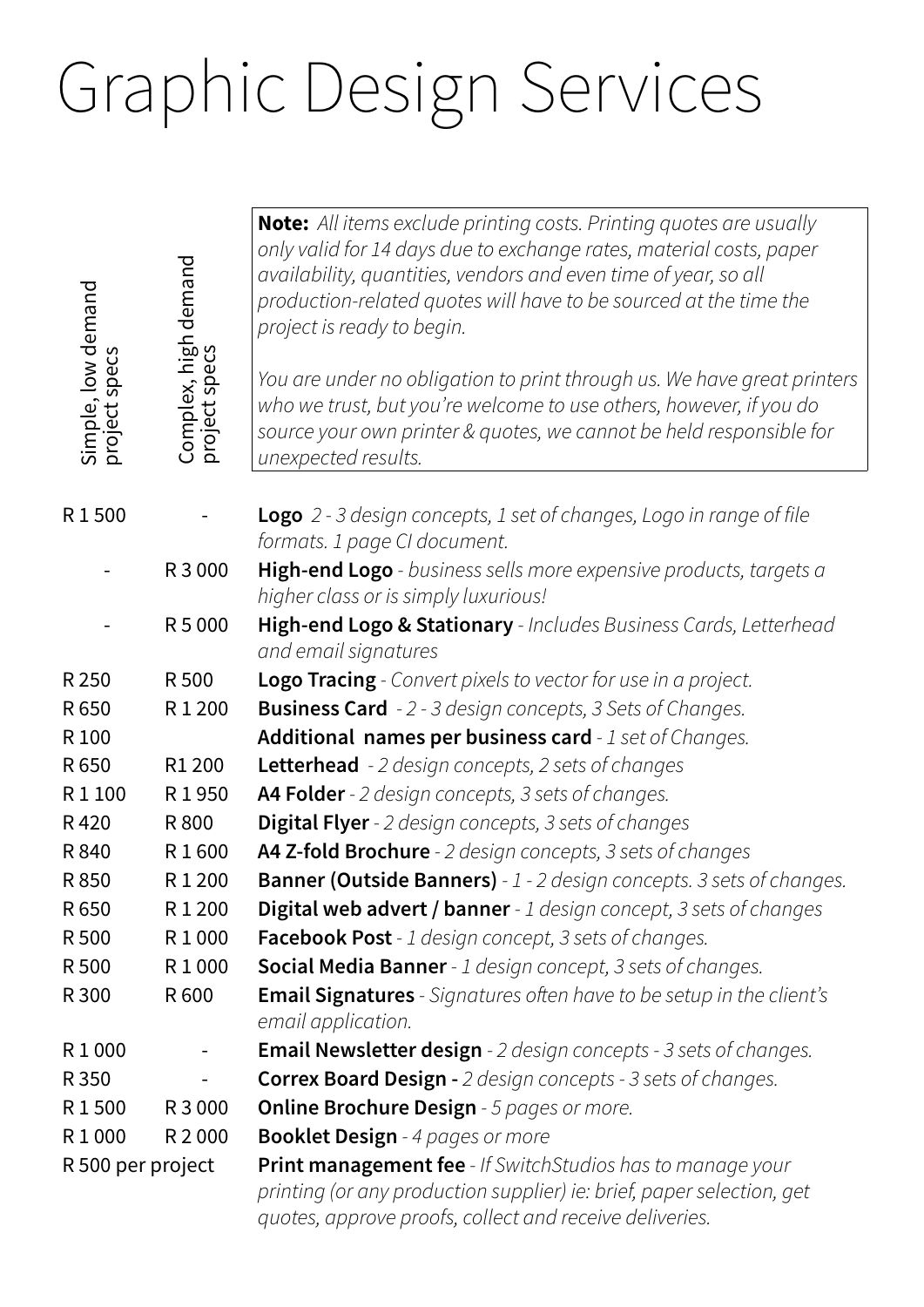## Graphic Design Services

٦

| Simple, low demand<br>project specs<br>specs | Complex, high demand<br>project specs | <b>Note:</b> All items exclude printing costs. Printing quotes are usually<br>only valid for 14 days due to exchange rates, material costs, paper<br>availability, quantities, vendors and even time of year, so all<br>production-related quotes will have to be sourced at the time the<br>project is ready to begin.<br>You are under no obligation to print through us. We have great printers<br>who we trust, but you're welcome to use others, however, if you do<br>source your own printer & quotes, we cannot be held responsible for<br>unexpected results. |
|----------------------------------------------|---------------------------------------|------------------------------------------------------------------------------------------------------------------------------------------------------------------------------------------------------------------------------------------------------------------------------------------------------------------------------------------------------------------------------------------------------------------------------------------------------------------------------------------------------------------------------------------------------------------------|
| R1500                                        |                                       | <b>Logo</b> 2 - 3 design concepts, 1 set of changes, Logo in range of file<br>formats. 1 page CI document.                                                                                                                                                                                                                                                                                                                                                                                                                                                             |
|                                              | R 3 000                               | High-end Logo - business sells more expensive products, targets a<br>higher class or is simply luxurious!                                                                                                                                                                                                                                                                                                                                                                                                                                                              |
|                                              | R 5 000                               | High-end Logo & Stationary - Includes Business Cards, Letterhead<br>and email signatures                                                                                                                                                                                                                                                                                                                                                                                                                                                                               |
| R 250                                        | R 500                                 | <b>Logo Tracing</b> - Convert pixels to vector for use in a project.                                                                                                                                                                                                                                                                                                                                                                                                                                                                                                   |
| R 650                                        | R1200                                 | <b>Business Card</b> - 2 - 3 design concepts, 3 Sets of Changes.                                                                                                                                                                                                                                                                                                                                                                                                                                                                                                       |
| R 100                                        |                                       | Additional names per business card - 1 set of Changes.                                                                                                                                                                                                                                                                                                                                                                                                                                                                                                                 |
| R 650                                        | R1 200                                | <b>Letterhead</b> - 2 design concepts, 2 sets of changes                                                                                                                                                                                                                                                                                                                                                                                                                                                                                                               |
| R1100                                        | R1950                                 | A4 Folder - 2 design concepts, 3 sets of changes.                                                                                                                                                                                                                                                                                                                                                                                                                                                                                                                      |
| R420                                         | R 800                                 | <b>Digital Flyer</b> - 2 design concepts, 3 sets of changes                                                                                                                                                                                                                                                                                                                                                                                                                                                                                                            |
| R 840                                        | R1600                                 | A4 Z-fold Brochure - 2 design concepts, 3 sets of changes                                                                                                                                                                                                                                                                                                                                                                                                                                                                                                              |
| R 850                                        | R1200                                 | <b>Banner (Outside Banners)</b> - 1 - 2 design concepts. 3 sets of changes.                                                                                                                                                                                                                                                                                                                                                                                                                                                                                            |
| R 650                                        | R1200                                 | <b>Digital web advert / banner</b> - 1 design concept, 3 sets of changes                                                                                                                                                                                                                                                                                                                                                                                                                                                                                               |
| R 500                                        | R1000                                 | Facebook Post - 1 design concept, 3 sets of changes.                                                                                                                                                                                                                                                                                                                                                                                                                                                                                                                   |
| R 500                                        | R1000                                 | <b>Social Media Banner</b> - 1 design concept, 3 sets of changes.                                                                                                                                                                                                                                                                                                                                                                                                                                                                                                      |
| R 300                                        | R 600                                 | <b>Email Signatures</b> - Signatures often have to be setup in the client's<br>email application.                                                                                                                                                                                                                                                                                                                                                                                                                                                                      |
| R1000                                        |                                       | <b>Email Newsletter design</b> - 2 design concepts - 3 sets of changes.                                                                                                                                                                                                                                                                                                                                                                                                                                                                                                |
| R 350                                        |                                       | <b>Correx Board Design -</b> 2 design concepts - 3 sets of changes.                                                                                                                                                                                                                                                                                                                                                                                                                                                                                                    |
| R1500                                        | R 3 000                               | <b>Online Brochure Design</b> - 5 pages or more.                                                                                                                                                                                                                                                                                                                                                                                                                                                                                                                       |
| R1000                                        | R 2 000                               | <b>Booklet Design</b> - 4 pages or more                                                                                                                                                                                                                                                                                                                                                                                                                                                                                                                                |
| R 500 per project                            |                                       | <b>Print management fee</b> - If SwitchStudios has to manage your<br>printing (or any production supplier) ie: brief, paper selection, get<br>quotes, approve proofs, collect and receive deliveries.                                                                                                                                                                                                                                                                                                                                                                  |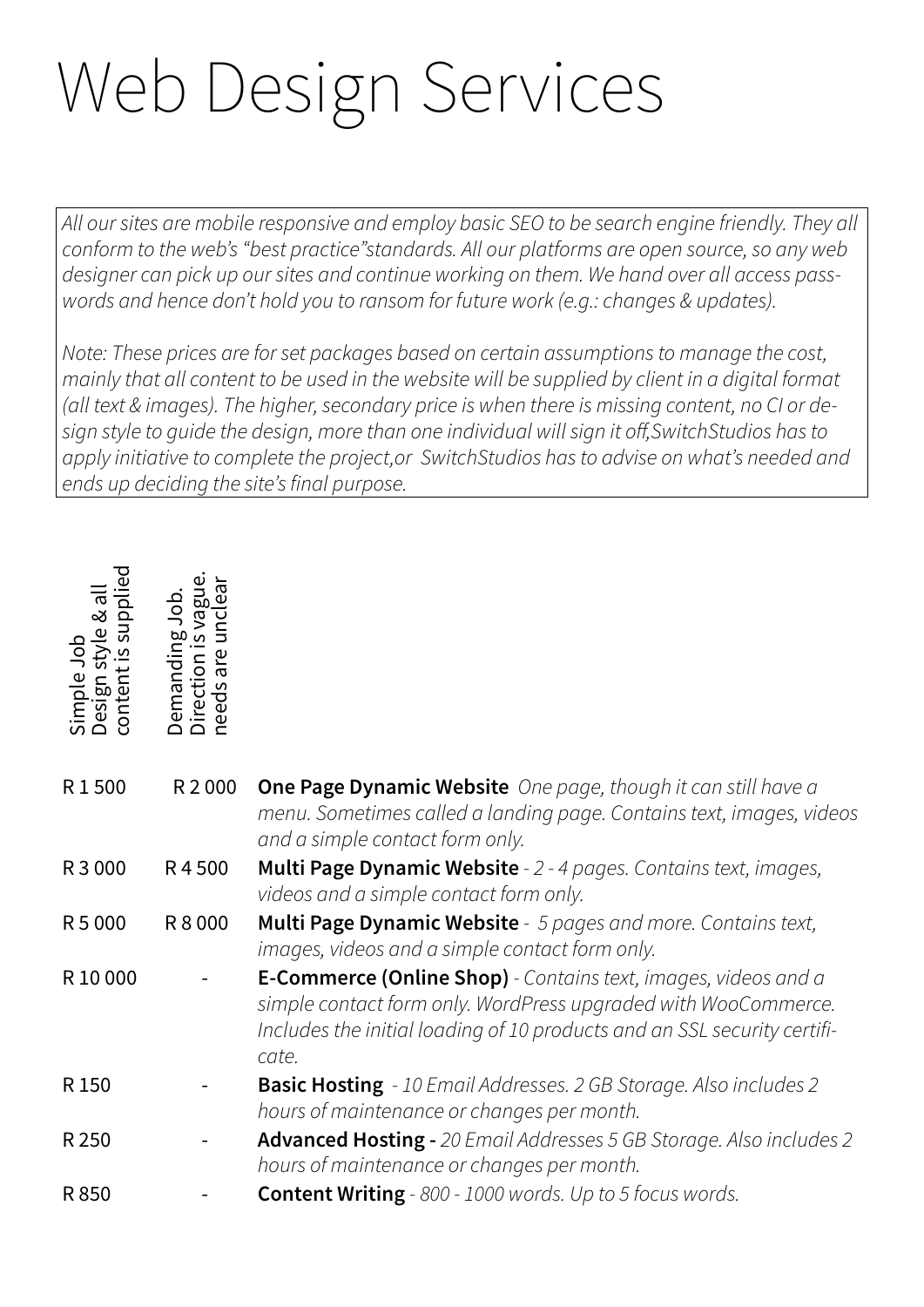## Web Design Services

*All our sites are mobile responsive and employ basic SEO to be search engine friendly. They all conform to the web's "best practice"standards. All our platforms are open source, so any web designer can pick up our sites and continue working on them. We hand over all access passwords and hence don't hold you to ransom for future work (e.g.: changes & updates).*

*Note: These prices are for set packages based on certain assumptions to manage the cost, mainly that all content to be used in the website will be supplied by client in a digital format (all text & images). The higher, secondary price is when there is missing content, no CI or design style to guide the design, more than one individual will sign it off,SwitchStudios has to apply initiative to complete the project,or SwitchStudios has to advise on what's needed and ends up deciding the site's final purpose.*

| Simple<br>content<br>isəl | are<br>emand<br>irecti<br>reeds |                                                                                                                                                                                                                       |
|---------------------------|---------------------------------|-----------------------------------------------------------------------------------------------------------------------------------------------------------------------------------------------------------------------|
| R1500                     | R 2 000                         | <b>One Page Dynamic Website</b> One page, though it can still have a<br>menu. Sometimes called a landing page. Contains text, images, videos<br>and a simple contact form only.                                       |
| R 3 0 0 0                 | R4500                           | Multi Page Dynamic Website - 2 - 4 pages. Contains text, images,<br>videos and a simple contact form only.                                                                                                            |
| R 5 000                   | R 8 0 0 0                       | Multi Page Dynamic Website - 5 pages and more. Contains text,<br>images, videos and a simple contact form only.                                                                                                       |
| R 10 000                  |                                 | E-Commerce (Online Shop) - Contains text, images, videos and a<br>simple contact form only. WordPress upgraded with WooCommerce.<br>Includes the initial loading of 10 products and an SSL security certifi-<br>cate. |
| R 150                     |                                 | <b>Basic Hosting</b> - 10 Email Addresses. 2 GB Storage. Also includes 2<br>hours of maintenance or changes per month.                                                                                                |
| R 250                     |                                 | Advanced Hosting - 20 Email Addresses 5 GB Storage. Also includes 2<br>hours of maintenance or changes per month.                                                                                                     |
| R850                      |                                 | <b>Content Writing</b> - 800 - 1000 words. Up to 5 focus words.                                                                                                                                                       |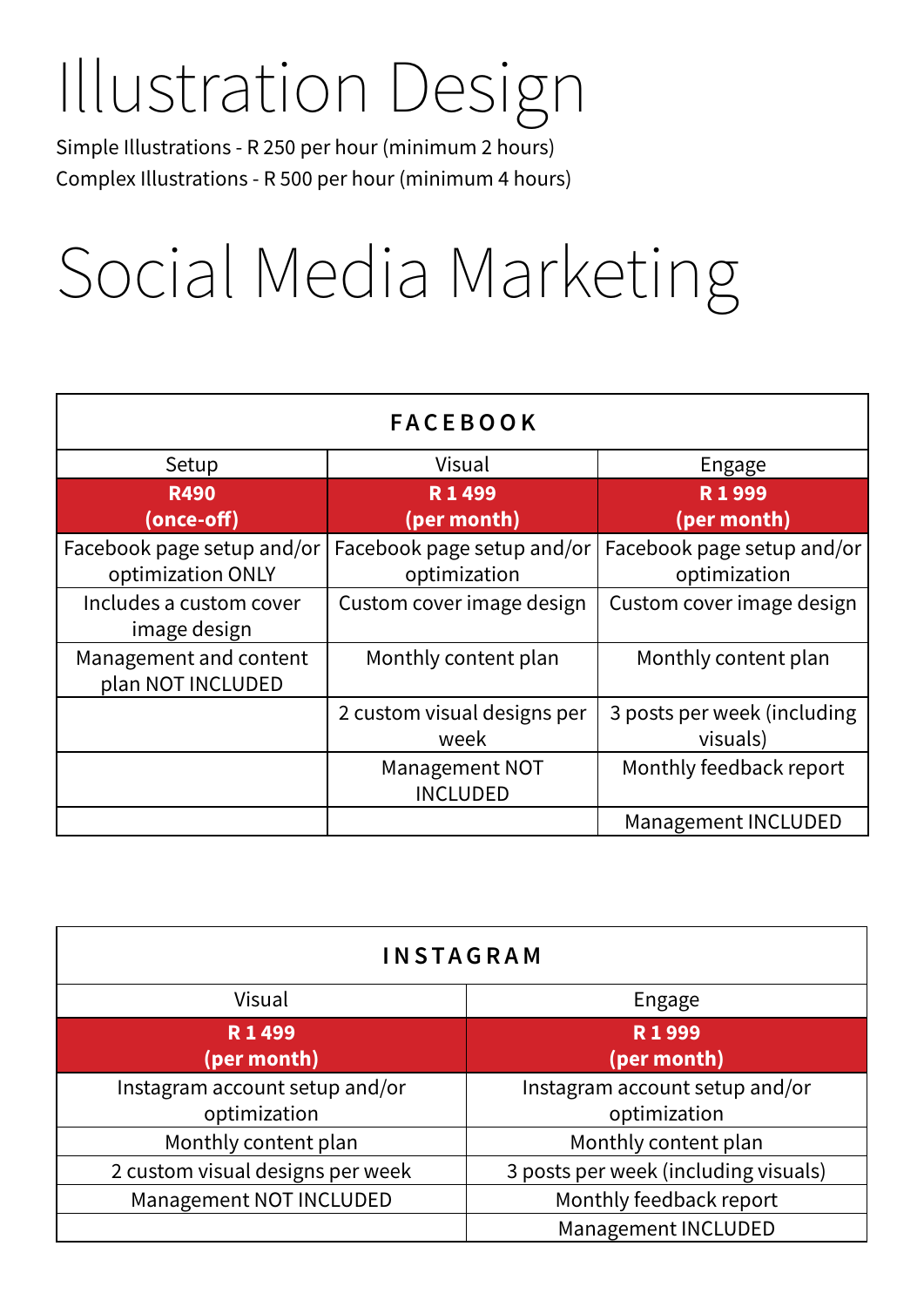### Illustration Design

Simple Illustrations - R 250 per hour (minimum 2 hours) Complex Illustrations - R 500 per hour (minimum 4 hours)

### Social Media Marketing

| <b>FACEBOOK</b>                                 |                                            |                                            |  |  |  |  |  |
|-------------------------------------------------|--------------------------------------------|--------------------------------------------|--|--|--|--|--|
| Setup                                           | Visual                                     | Engage                                     |  |  |  |  |  |
| <b>R490</b><br>(once-off)                       | R 1 499<br>(per month)                     | R1999<br>(per month)                       |  |  |  |  |  |
| Facebook page setup and/or<br>optimization ONLY | Facebook page setup and/or<br>optimization | Facebook page setup and/or<br>optimization |  |  |  |  |  |
| Includes a custom cover<br>image design         | Custom cover image design                  | Custom cover image design                  |  |  |  |  |  |
| Management and content<br>plan NOT INCLUDED     | Monthly content plan                       | Monthly content plan                       |  |  |  |  |  |
|                                                 | 2 custom visual designs per<br>week        | 3 posts per week (including<br>visuals)    |  |  |  |  |  |
|                                                 | <b>Management NOT</b><br><b>INCLUDED</b>   | Monthly feedback report                    |  |  |  |  |  |
|                                                 |                                            | Management INCLUDED                        |  |  |  |  |  |

| <b>INSTAGRAM</b>                 |                                      |  |  |  |
|----------------------------------|--------------------------------------|--|--|--|
| Visual                           | Engage                               |  |  |  |
| R 1 499                          | R1999                                |  |  |  |
| (per month)                      | (per month)                          |  |  |  |
| Instagram account setup and/or   | Instagram account setup and/or       |  |  |  |
| optimization                     | optimization                         |  |  |  |
| Monthly content plan             | Monthly content plan                 |  |  |  |
| 2 custom visual designs per week | 3 posts per week (including visuals) |  |  |  |
| Management NOT INCLUDED          | Monthly feedback report              |  |  |  |
|                                  | Management INCLUDED                  |  |  |  |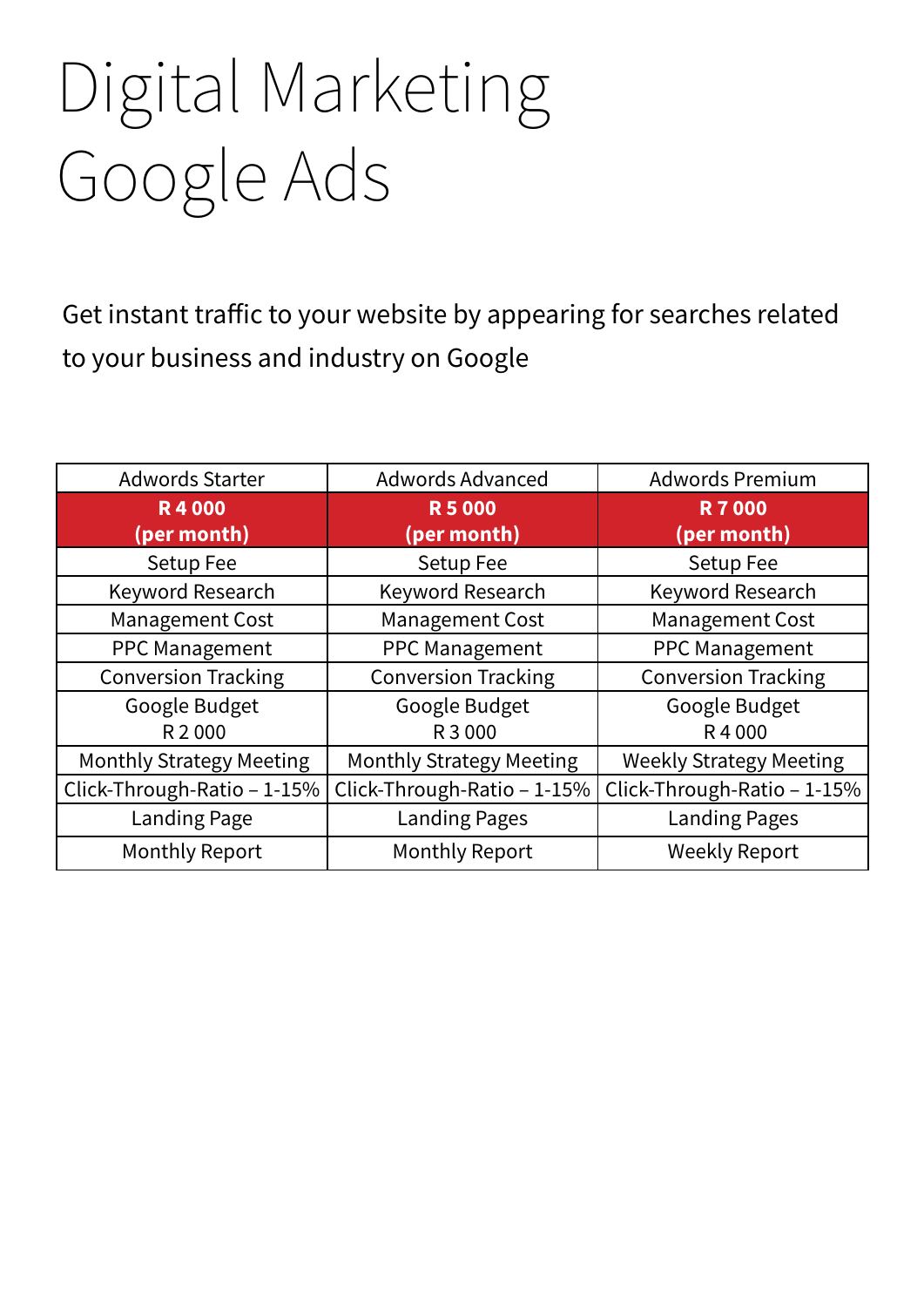# Digital Marketing Google Ads

Get instant traffic to your website by appearing for searches related to your business and industry on Google

| <b>Adwords Starter</b>          | <b>Adwords Advanced</b>         | <b>Adwords Premium</b>         |
|---------------------------------|---------------------------------|--------------------------------|
| <b>R4000</b>                    | <b>R5000</b>                    | <b>R7000</b>                   |
| (per month)                     | (per month)                     | (per month)                    |
| Setup Fee                       | Setup Fee                       | Setup Fee                      |
| Keyword Research                | Keyword Research                | Keyword Research               |
| <b>Management Cost</b>          | <b>Management Cost</b>          | <b>Management Cost</b>         |
| <b>PPC Management</b>           | <b>PPC Management</b>           | PPC Management                 |
| <b>Conversion Tracking</b>      | <b>Conversion Tracking</b>      | <b>Conversion Tracking</b>     |
| Google Budget                   | Google Budget                   | Google Budget                  |
| R 2000                          | R 3 000                         | R4000                          |
| <b>Monthly Strategy Meeting</b> | <b>Monthly Strategy Meeting</b> | <b>Weekly Strategy Meeting</b> |
| Click-Through-Ratio - 1-15%     | Click-Through-Ratio - 1-15%     | Click-Through-Ratio - 1-15%    |
| <b>Landing Page</b>             | <b>Landing Pages</b>            | <b>Landing Pages</b>           |
| <b>Monthly Report</b>           | <b>Monthly Report</b>           | <b>Weekly Report</b>           |